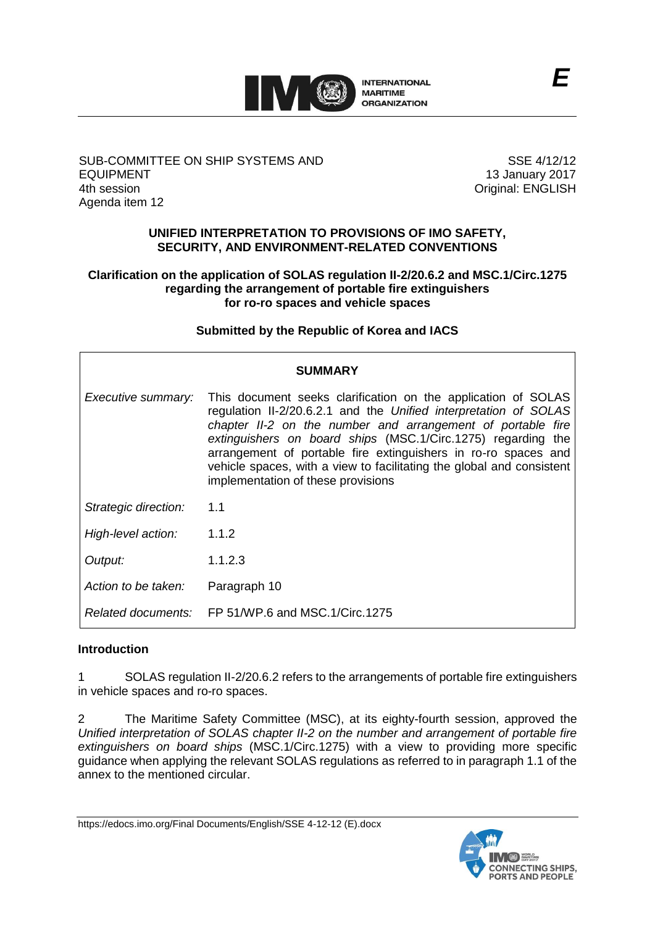

# SUB-COMMITTEE ON SHIP SYSTEMS AND EQUIPMENT 4th session Agenda item 12

SSE 4/12/12 13 January 2017 Original: ENGLISH

#### **UNIFIED INTERPRETATION TO PROVISIONS OF IMO SAFETY, SECURITY, AND ENVIRONMENT-RELATED CONVENTIONS**

#### **Clarification on the application of SOLAS regulation II-2/20.6.2 and MSC.1/Circ.1275 regarding the arrangement of portable fire extinguishers for ro-ro spaces and vehicle spaces**

# **Submitted by the Republic of Korea and IACS**

| <b>SUMMARY</b>       |                                                                                                                                                                                                                                                                                                                                                                                                                                                   |  |  |  |
|----------------------|---------------------------------------------------------------------------------------------------------------------------------------------------------------------------------------------------------------------------------------------------------------------------------------------------------------------------------------------------------------------------------------------------------------------------------------------------|--|--|--|
| Executive summary:   | This document seeks clarification on the application of SOLAS<br>regulation II-2/20.6.2.1 and the Unified interpretation of SOLAS<br>chapter II-2 on the number and arrangement of portable fire<br>extinguishers on board ships (MSC.1/Circ.1275) regarding the<br>arrangement of portable fire extinguishers in ro-ro spaces and<br>vehicle spaces, with a view to facilitating the global and consistent<br>implementation of these provisions |  |  |  |
| Strategic direction: | 1.1                                                                                                                                                                                                                                                                                                                                                                                                                                               |  |  |  |
| High-level action:   | 1.1.2                                                                                                                                                                                                                                                                                                                                                                                                                                             |  |  |  |
| Output:              | 1.1.2.3                                                                                                                                                                                                                                                                                                                                                                                                                                           |  |  |  |
| Action to be taken:  | Paragraph 10                                                                                                                                                                                                                                                                                                                                                                                                                                      |  |  |  |
|                      | Related documents: FP 51/WP.6 and MSC.1/Circ.1275                                                                                                                                                                                                                                                                                                                                                                                                 |  |  |  |

# **Introduction**

1 SOLAS regulation II-2/20.6.2 refers to the arrangements of portable fire extinguishers in vehicle spaces and ro-ro spaces.

2 The Maritime Safety Committee (MSC), at its eighty-fourth session, approved the *Unified interpretation of SOLAS chapter II-2 on the number and arrangement of portable fire extinguishers on board ships* (MSC.1/Circ.1275) with a view to providing more specific guidance when applying the relevant SOLAS regulations as referred to in paragraph 1.1 of the annex to the mentioned circular.

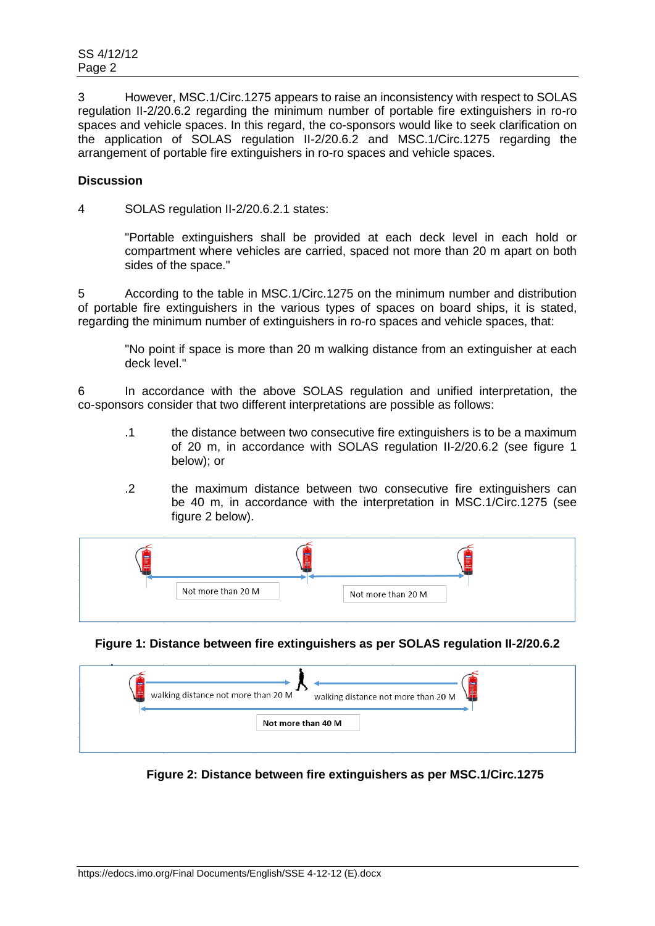3 However, MSC.1/Circ.1275 appears to raise an inconsistency with respect to SOLAS regulation II-2/20.6.2 regarding the minimum number of portable fire extinguishers in ro-ro spaces and vehicle spaces. In this regard, the co-sponsors would like to seek clarification on the application of SOLAS regulation II-2/20.6.2 and MSC.1/Circ.1275 regarding the arrangement of portable fire extinguishers in ro-ro spaces and vehicle spaces.

# **Discussion**

4 SOLAS regulation II-2/20.6.2.1 states:

"Portable extinguishers shall be provided at each deck level in each hold or compartment where vehicles are carried, spaced not more than 20 m apart on both sides of the space."

5 According to the table in MSC.1/Circ.1275 on the minimum number and distribution of portable fire extinguishers in the various types of spaces on board ships, it is stated, regarding the minimum number of extinguishers in ro-ro spaces and vehicle spaces, that:

"No point if space is more than 20 m walking distance from an extinguisher at each deck level."

6 In accordance with the above SOLAS regulation and unified interpretation, the co-sponsors consider that two different interpretations are possible as follows:

- .1 the distance between two consecutive fire extinguishers is to be a maximum of 20 m, in accordance with SOLAS regulation II-2/20.6.2 (see figure 1 below); or
- .2 the maximum distance between two consecutive fire extinguishers can be 40 m, in accordance with the interpretation in MSC.1/Circ.1275 (see figure 2 below).

| Not more than 20 M | Not more than 20 M |  |
|--------------------|--------------------|--|

# **Figure 1: Distance between fire extinguishers as per SOLAS regulation II-2/20.6.2**

| walking distance not more than 20 M | æ                                   |
|-------------------------------------|-------------------------------------|
| Ŧ                                   | walking distance not more than 20 M |
|                                     | Not more than 40 M                  |

**Figure 2: Distance between fire extinguishers as per MSC.1/Circ.1275**